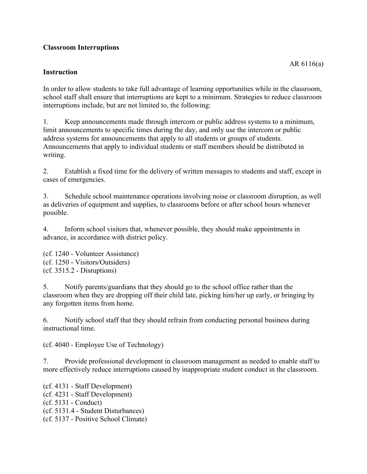## **Classroom Interruptions**

## **Instruction**

In order to allow students to take full advantage of learning opportunities while in the classroom, school staff shall ensure that interruptions are kept to a minimum. Strategies to reduce classroom interruptions include, but are not limited to, the following:

1. Keep announcements made through intercom or public address systems to a minimum, limit announcements to specific times during the day, and only use the intercom or public address systems for announcements that apply to all students or groups of students. Announcements that apply to individual students or staff members should be distributed in writing.

2. Establish a fixed time for the delivery of written messages to students and staff, except in cases of emergencies.

3. Schedule school maintenance operations involving noise or classroom disruption, as well as deliveries of equipment and supplies, to classrooms before or after school hours whenever possible.

4. Inform school visitors that, whenever possible, they should make appointments in advance, in accordance with district policy.

(cf. 1240 - Volunteer Assistance) (cf. 1250 - Visitors/Outsiders) (cf. 3515.2 - Disruptions)

5. Notify parents/guardians that they should go to the school office rather than the classroom when they are dropping off their child late, picking him/her up early, or bringing by any forgotten items from home.

6. Notify school staff that they should refrain from conducting personal business during instructional time.

(cf. 4040 - Employee Use of Technology)

7. Provide professional development in classroom management as needed to enable staff to more effectively reduce interruptions caused by inappropriate student conduct in the classroom.

(cf. 4131 - Staff Development) (cf. 4231 - Staff Development) (cf. 5131 - Conduct) (cf. 5131.4 - Student Disturbances) (cf. 5137 - Positive School Climate)